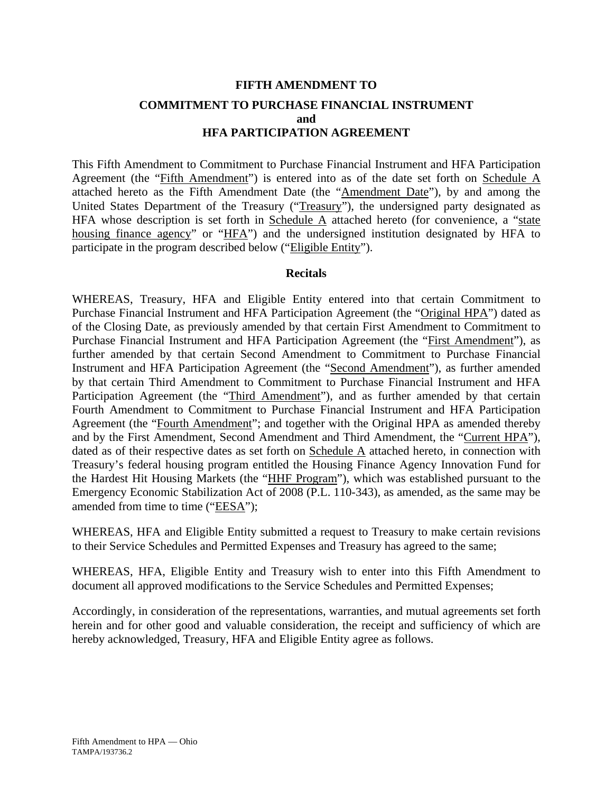# **FIFTH AMENDMENT TO COMMITMENT TO PURCHASE FINANCIAL INSTRUMENT and HFA PARTICIPATION AGREEMENT**

This Fifth Amendment to Commitment to Purchase Financial Instrument and HFA Participation Agreement (the "Fifth Amendment") is entered into as of the date set forth on Schedule A attached hereto as the Fifth Amendment Date (the "Amendment Date"), by and among the United States Department of the Treasury ("Treasury"), the undersigned party designated as HFA whose description is set forth in Schedule  $\overline{A}$  attached hereto (for convenience, a "state housing finance agency" or "HFA") and the undersigned institution designated by HFA to participate in the program described below ("Eligible Entity").

#### **Recitals**

WHEREAS, Treasury, HFA and Eligible Entity entered into that certain Commitment to Purchase Financial Instrument and HFA Participation Agreement (the "Original HPA") dated as of the Closing Date, as previously amended by that certain First Amendment to Commitment to Purchase Financial Instrument and HFA Participation Agreement (the "First Amendment"), as further amended by that certain Second Amendment to Commitment to Purchase Financial Instrument and HFA Participation Agreement (the "Second Amendment"), as further amended by that certain Third Amendment to Commitment to Purchase Financial Instrument and HFA Participation Agreement (the "Third Amendment"), and as further amended by that certain Fourth Amendment to Commitment to Purchase Financial Instrument and HFA Participation Agreement (the "Fourth Amendment"; and together with the Original HPA as amended thereby and by the First Amendment, Second Amendment and Third Amendment, the "Current HPA"), dated as of their respective dates as set forth on Schedule A attached hereto, in connection with Treasury's federal housing program entitled the Housing Finance Agency Innovation Fund for the Hardest Hit Housing Markets (the "HHF Program"), which was established pursuant to the Emergency Economic Stabilization Act of 2008 (P.L. 110-343), as amended, as the same may be amended from time to time ("EESA");

WHEREAS, HFA and Eligible Entity submitted a request to Treasury to make certain revisions to their Service Schedules and Permitted Expenses and Treasury has agreed to the same;

WHEREAS, HFA, Eligible Entity and Treasury wish to enter into this Fifth Amendment to document all approved modifications to the Service Schedules and Permitted Expenses;

Accordingly, in consideration of the representations, warranties, and mutual agreements set forth herein and for other good and valuable consideration, the receipt and sufficiency of which are hereby acknowledged, Treasury, HFA and Eligible Entity agree as follows.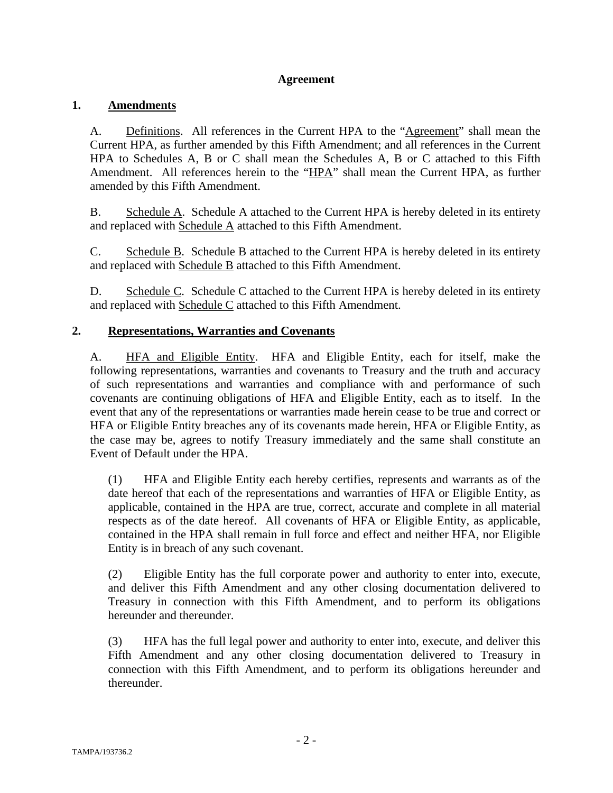# **Agreement**

# **1. Amendments**

A. Definitions. All references in the Current HPA to the "Agreement" shall mean the Current HPA, as further amended by this Fifth Amendment; and all references in the Current HPA to Schedules A, B or C shall mean the Schedules A, B or C attached to this Fifth Amendment. All references herein to the "HPA" shall mean the Current HPA, as further amended by this Fifth Amendment.

B. Schedule A. Schedule A attached to the Current HPA is hereby deleted in its entirety and replaced with Schedule A attached to this Fifth Amendment.

C. Schedule B. Schedule B attached to the Current HPA is hereby deleted in its entirety and replaced with Schedule B attached to this Fifth Amendment.

D. Schedule C. Schedule C attached to the Current HPA is hereby deleted in its entirety and replaced with Schedule C attached to this Fifth Amendment.

## **2. Representations, Warranties and Covenants**

A. HFA and Eligible Entity. HFA and Eligible Entity, each for itself, make the following representations, warranties and covenants to Treasury and the truth and accuracy of such representations and warranties and compliance with and performance of such covenants are continuing obligations of HFA and Eligible Entity, each as to itself. In the event that any of the representations or warranties made herein cease to be true and correct or HFA or Eligible Entity breaches any of its covenants made herein, HFA or Eligible Entity, as the case may be, agrees to notify Treasury immediately and the same shall constitute an Event of Default under the HPA.

(1) HFA and Eligible Entity each hereby certifies, represents and warrants as of the date hereof that each of the representations and warranties of HFA or Eligible Entity, as applicable, contained in the HPA are true, correct, accurate and complete in all material respects as of the date hereof. All covenants of HFA or Eligible Entity, as applicable, contained in the HPA shall remain in full force and effect and neither HFA, nor Eligible Entity is in breach of any such covenant.

(2) Eligible Entity has the full corporate power and authority to enter into, execute, and deliver this Fifth Amendment and any other closing documentation delivered to Treasury in connection with this Fifth Amendment, and to perform its obligations hereunder and thereunder.

(3) HFA has the full legal power and authority to enter into, execute, and deliver this Fifth Amendment and any other closing documentation delivered to Treasury in connection with this Fifth Amendment, and to perform its obligations hereunder and thereunder.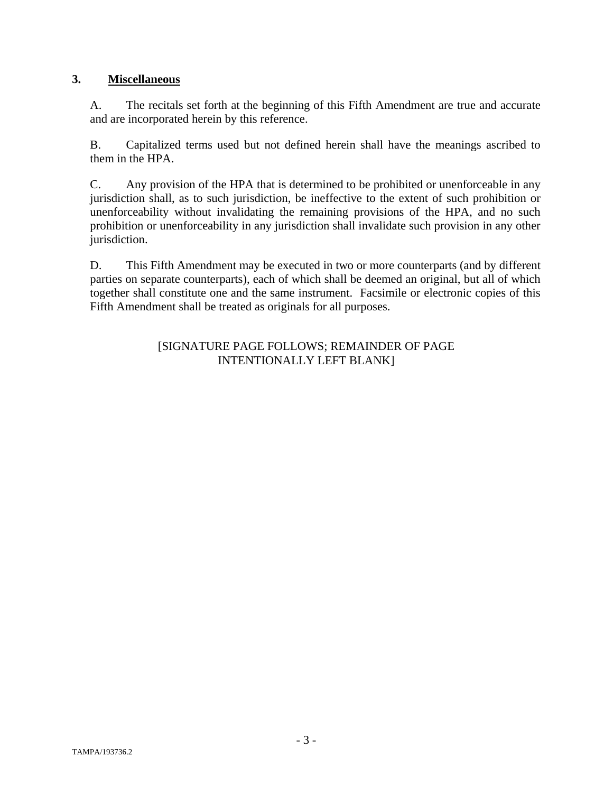# **3. Miscellaneous**

A. The recitals set forth at the beginning of this Fifth Amendment are true and accurate and are incorporated herein by this reference.

B. Capitalized terms used but not defined herein shall have the meanings ascribed to them in the HPA.

C. Any provision of the HPA that is determined to be prohibited or unenforceable in any jurisdiction shall, as to such jurisdiction, be ineffective to the extent of such prohibition or unenforceability without invalidating the remaining provisions of the HPA, and no such prohibition or unenforceability in any jurisdiction shall invalidate such provision in any other jurisdiction.

D. This Fifth Amendment may be executed in two or more counterparts (and by different parties on separate counterparts), each of which shall be deemed an original, but all of which together shall constitute one and the same instrument. Facsimile or electronic copies of this Fifth Amendment shall be treated as originals for all purposes.

# [SIGNATURE PAGE FOLLOWS; REMAINDER OF PAGE INTENTIONALLY LEFT BLANK]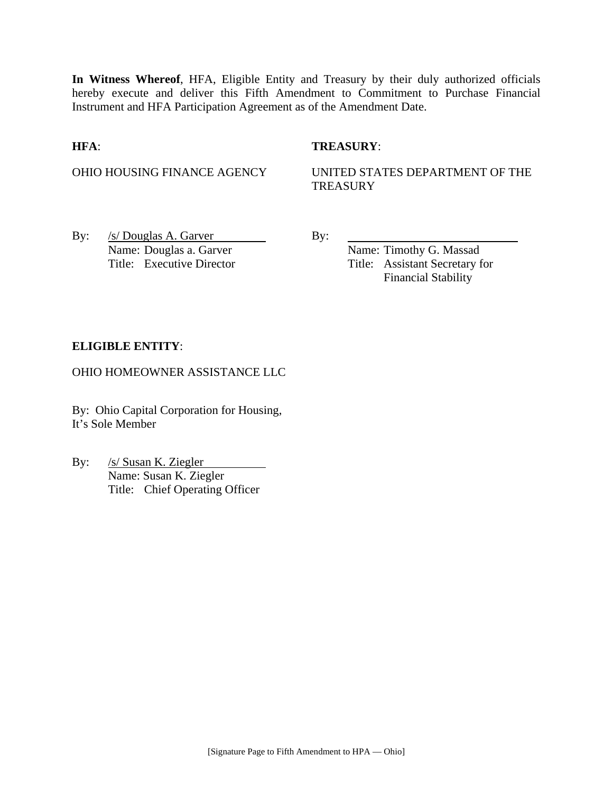**In Witness Whereof**, HFA, Eligible Entity and Treasury by their duly authorized officials hereby execute and deliver this Fifth Amendment to Commitment to Purchase Financial Instrument and HFA Participation Agreement as of the Amendment Date.

## **HFA**: **TREASURY**:

OHIO HOUSING FINANCE AGENCY UNITED STATES DEPARTMENT OF THE **TREASURY** 

By:  $/s/Douglas A. Garver$  By: Name: Douglas a. Garver Name: Timothy G. Massad

Title: Executive Director Title: Assistant Secretary for Financial Stability

## **ELIGIBLE ENTITY**:

OHIO HOMEOWNER ASSISTANCE LLC

By: Ohio Capital Corporation for Housing, It's Sole Member

By: /s/ Susan K. Ziegler Name: Susan K. Ziegler Title: Chief Operating Officer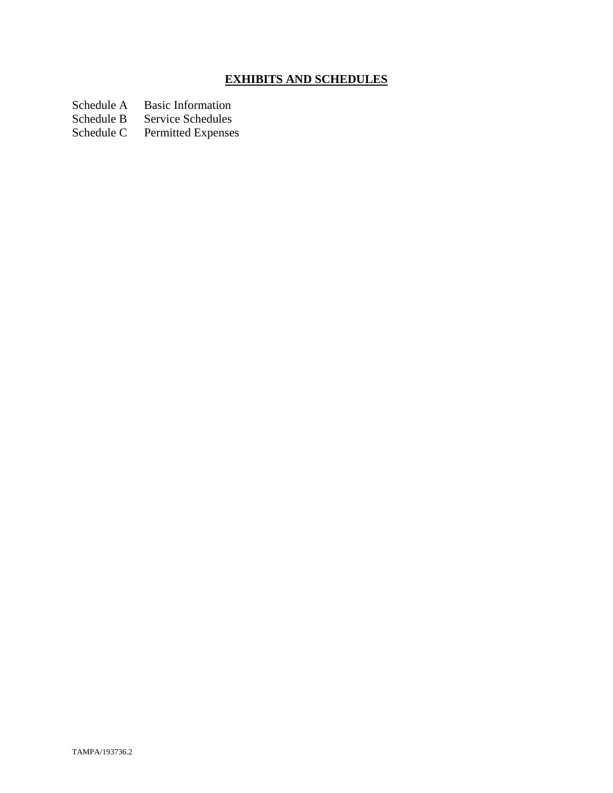# **EXHIBITS AND SCHEDULES**

- Schedule A Basic Information<br>Schedule B Service Schedules
- Schedule B Service Schedules<br>Schedule C Permitted Expenses
- Permitted Expenses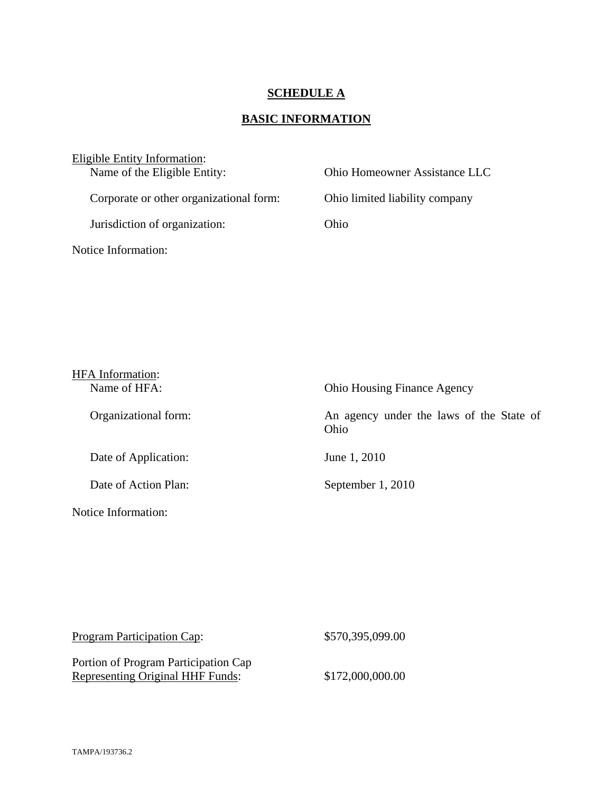# **SCHEDULE A**

# **BASIC INFORMATION**

| Eligible Entity Information:            |                                |
|-----------------------------------------|--------------------------------|
| Name of the Eligible Entity:            | Ohio Homeowner Assistance LLC  |
|                                         |                                |
| Corporate or other organizational form: | Ohio limited liability company |
| Jurisdiction of organization:           | Ohio                           |
| Notice Information:                     |                                |

| <b>HFA</b> Information: |                                                  |
|-------------------------|--------------------------------------------------|
| Name of HFA:            | <b>Ohio Housing Finance Agency</b>               |
| Organizational form:    | An agency under the laws of the State of<br>Ohio |
| Date of Application:    | June 1, 2010                                     |
| Date of Action Plan:    | September 1, 2010                                |
| Notice Information:     |                                                  |

| <b>Program Participation Cap:</b>       | \$570,395,099.00 |
|-----------------------------------------|------------------|
| Portion of Program Participation Cap    |                  |
| <b>Representing Original HHF Funds:</b> | \$172,000,000.00 |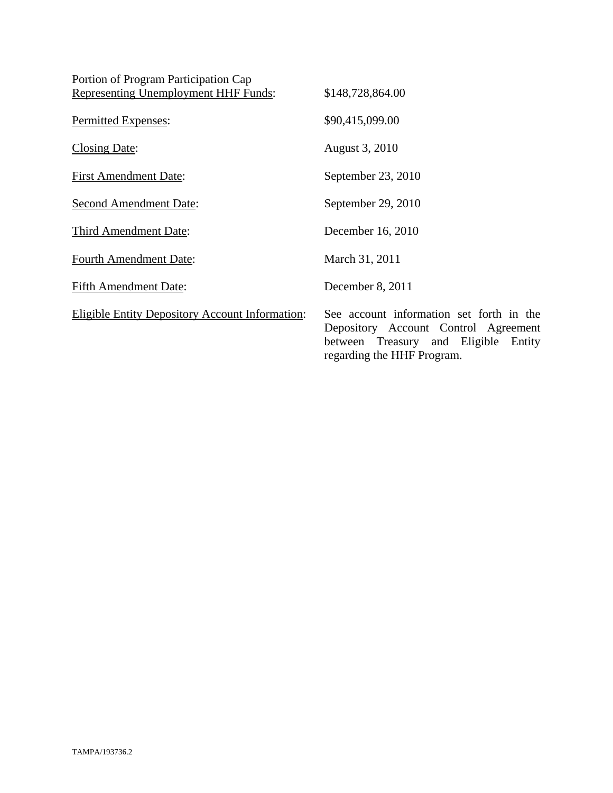| Portion of Program Participation Cap                   |                                                                                                                                                        |
|--------------------------------------------------------|--------------------------------------------------------------------------------------------------------------------------------------------------------|
| <b>Representing Unemployment HHF Funds:</b>            | \$148,728,864.00                                                                                                                                       |
| Permitted Expenses:                                    | \$90,415,099.00                                                                                                                                        |
| <b>Closing Date:</b>                                   | August 3, 2010                                                                                                                                         |
| <b>First Amendment Date:</b>                           | September 23, 2010                                                                                                                                     |
| <b>Second Amendment Date:</b>                          | September 29, 2010                                                                                                                                     |
| Third Amendment Date:                                  | December 16, 2010                                                                                                                                      |
| <b>Fourth Amendment Date:</b>                          | March 31, 2011                                                                                                                                         |
| <b>Fifth Amendment Date:</b>                           | December 8, 2011                                                                                                                                       |
| <b>Eligible Entity Depository Account Information:</b> | See account information set forth in the<br>Depository Account Control Agreement<br>between Treasury and Eligible Entity<br>regarding the HHF Program. |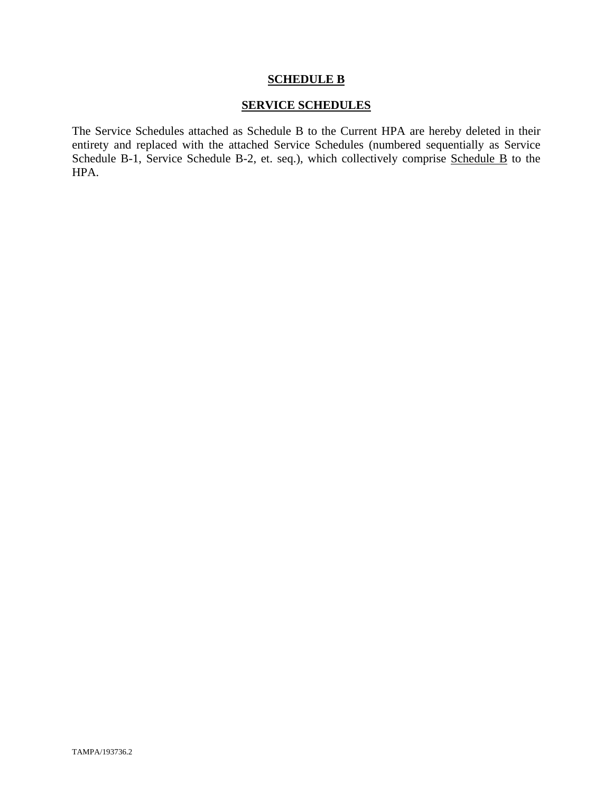#### **SCHEDULE B**

## **SERVICE SCHEDULES**

The Service Schedules attached as Schedule B to the Current HPA are hereby deleted in their entirety and replaced with the attached Service Schedules (numbered sequentially as Service Schedule B-1, Service Schedule B-2, et. seq.), which collectively comprise Schedule B to the HPA.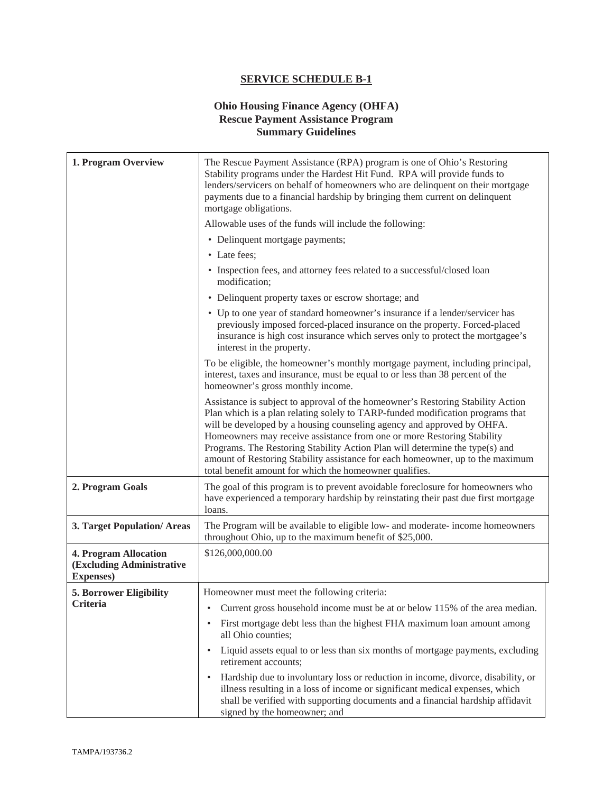#### **Ohio Housing Finance Agency (OHFA) Rescue Payment Assistance Program Summary Guidelines**

| 1. Program Overview                                                            | The Rescue Payment Assistance (RPA) program is one of Ohio's Restoring<br>Stability programs under the Hardest Hit Fund. RPA will provide funds to<br>lenders/servicers on behalf of homeowners who are delinquent on their mortgage<br>payments due to a financial hardship by bringing them current on delinquent<br>mortgage obligations.                                                                                                                                                                                                       |
|--------------------------------------------------------------------------------|----------------------------------------------------------------------------------------------------------------------------------------------------------------------------------------------------------------------------------------------------------------------------------------------------------------------------------------------------------------------------------------------------------------------------------------------------------------------------------------------------------------------------------------------------|
|                                                                                | Allowable uses of the funds will include the following:                                                                                                                                                                                                                                                                                                                                                                                                                                                                                            |
|                                                                                | • Delinquent mortgage payments;                                                                                                                                                                                                                                                                                                                                                                                                                                                                                                                    |
|                                                                                | • Late fees;                                                                                                                                                                                                                                                                                                                                                                                                                                                                                                                                       |
|                                                                                | • Inspection fees, and attorney fees related to a successful/closed loan<br>modification;                                                                                                                                                                                                                                                                                                                                                                                                                                                          |
|                                                                                | • Delinquent property taxes or escrow shortage; and                                                                                                                                                                                                                                                                                                                                                                                                                                                                                                |
|                                                                                | • Up to one year of standard homeowner's insurance if a lender/servicer has<br>previously imposed forced-placed insurance on the property. Forced-placed<br>insurance is high cost insurance which serves only to protect the mortgagee's<br>interest in the property.                                                                                                                                                                                                                                                                             |
|                                                                                | To be eligible, the homeowner's monthly mortgage payment, including principal,<br>interest, taxes and insurance, must be equal to or less than 38 percent of the<br>homeowner's gross monthly income.                                                                                                                                                                                                                                                                                                                                              |
|                                                                                | Assistance is subject to approval of the homeowner's Restoring Stability Action<br>Plan which is a plan relating solely to TARP-funded modification programs that<br>will be developed by a housing counseling agency and approved by OHFA.<br>Homeowners may receive assistance from one or more Restoring Stability<br>Programs. The Restoring Stability Action Plan will determine the type(s) and<br>amount of Restoring Stability assistance for each homeowner, up to the maximum<br>total benefit amount for which the homeowner qualifies. |
| 2. Program Goals                                                               | The goal of this program is to prevent avoidable foreclosure for homeowners who<br>have experienced a temporary hardship by reinstating their past due first mortgage<br>loans.                                                                                                                                                                                                                                                                                                                                                                    |
| 3. Target Population/Areas                                                     | The Program will be available to eligible low- and moderate- income homeowners<br>throughout Ohio, up to the maximum benefit of \$25,000.                                                                                                                                                                                                                                                                                                                                                                                                          |
| <b>4. Program Allocation</b><br>(Excluding Administrative<br><b>Expenses</b> ) | \$126,000,000.00                                                                                                                                                                                                                                                                                                                                                                                                                                                                                                                                   |
| <b>5. Borrower Eligibility</b>                                                 | Homeowner must meet the following criteria:                                                                                                                                                                                                                                                                                                                                                                                                                                                                                                        |
| Criteria                                                                       | Current gross household income must be at or below 115% of the area median.                                                                                                                                                                                                                                                                                                                                                                                                                                                                        |
|                                                                                | First mortgage debt less than the highest FHA maximum loan amount among<br>all Ohio counties;                                                                                                                                                                                                                                                                                                                                                                                                                                                      |
|                                                                                | Liquid assets equal to or less than six months of mortgage payments, excluding<br>$\bullet$<br>retirement accounts;                                                                                                                                                                                                                                                                                                                                                                                                                                |
|                                                                                | Hardship due to involuntary loss or reduction in income, divorce, disability, or<br>$\bullet$<br>illness resulting in a loss of income or significant medical expenses, which<br>shall be verified with supporting documents and a financial hardship affidavit<br>signed by the homeowner; and                                                                                                                                                                                                                                                    |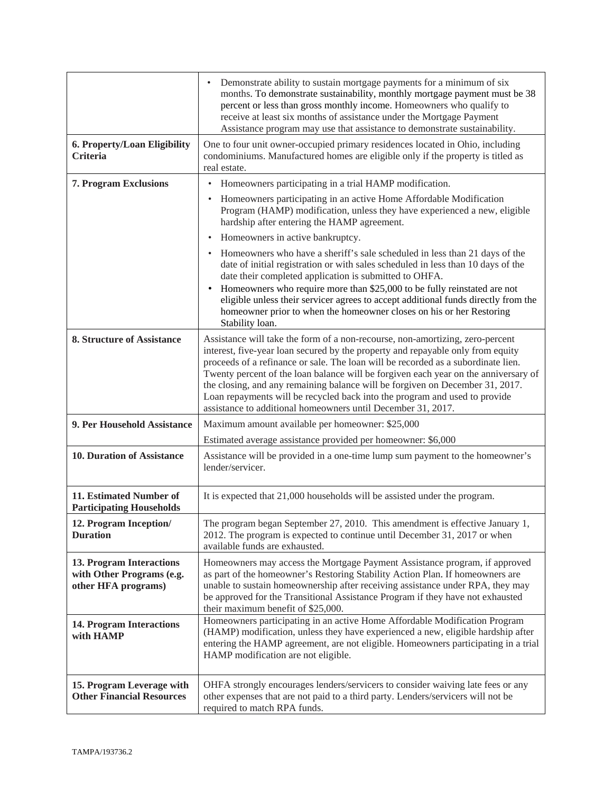|                                                                              | Demonstrate ability to sustain mortgage payments for a minimum of six<br>$\bullet$<br>months. To demonstrate sustainability, monthly mortgage payment must be 38<br>percent or less than gross monthly income. Homeowners who qualify to<br>receive at least six months of assistance under the Mortgage Payment<br>Assistance program may use that assistance to demonstrate sustainability.                                                                                                                                                                               |
|------------------------------------------------------------------------------|-----------------------------------------------------------------------------------------------------------------------------------------------------------------------------------------------------------------------------------------------------------------------------------------------------------------------------------------------------------------------------------------------------------------------------------------------------------------------------------------------------------------------------------------------------------------------------|
| 6. Property/Loan Eligibility<br><b>Criteria</b>                              | One to four unit owner-occupied primary residences located in Ohio, including<br>condominiums. Manufactured homes are eligible only if the property is titled as<br>real estate.                                                                                                                                                                                                                                                                                                                                                                                            |
| <b>7. Program Exclusions</b>                                                 | Homeowners participating in a trial HAMP modification.<br>$\bullet$                                                                                                                                                                                                                                                                                                                                                                                                                                                                                                         |
|                                                                              | Homeowners participating in an active Home Affordable Modification<br>$\bullet$<br>Program (HAMP) modification, unless they have experienced a new, eligible<br>hardship after entering the HAMP agreement.                                                                                                                                                                                                                                                                                                                                                                 |
|                                                                              | Homeowners in active bankruptcy.<br>$\bullet$                                                                                                                                                                                                                                                                                                                                                                                                                                                                                                                               |
|                                                                              | Homeowners who have a sheriff's sale scheduled in less than 21 days of the<br>date of initial registration or with sales scheduled in less than 10 days of the<br>date their completed application is submitted to OHFA.                                                                                                                                                                                                                                                                                                                                                    |
|                                                                              | Homeowners who require more than \$25,000 to be fully reinstated are not<br>$\bullet$<br>eligible unless their servicer agrees to accept additional funds directly from the<br>homeowner prior to when the homeowner closes on his or her Restoring<br>Stability loan.                                                                                                                                                                                                                                                                                                      |
| <b>8. Structure of Assistance</b>                                            | Assistance will take the form of a non-recourse, non-amortizing, zero-percent<br>interest, five-year loan secured by the property and repayable only from equity<br>proceeds of a refinance or sale. The loan will be recorded as a subordinate lien.<br>Twenty percent of the loan balance will be forgiven each year on the anniversary of<br>the closing, and any remaining balance will be forgiven on December 31, 2017.<br>Loan repayments will be recycled back into the program and used to provide<br>assistance to additional homeowners until December 31, 2017. |
| 9. Per Household Assistance                                                  | Maximum amount available per homeowner: \$25,000                                                                                                                                                                                                                                                                                                                                                                                                                                                                                                                            |
|                                                                              | Estimated average assistance provided per homeowner: \$6,000                                                                                                                                                                                                                                                                                                                                                                                                                                                                                                                |
| 10. Duration of Assistance                                                   | Assistance will be provided in a one-time lump sum payment to the homeowner's<br>lender/servicer.                                                                                                                                                                                                                                                                                                                                                                                                                                                                           |
| 11. Estimated Number of<br><b>Participating Households</b>                   | It is expected that 21,000 households will be assisted under the program.                                                                                                                                                                                                                                                                                                                                                                                                                                                                                                   |
| 12. Program Inception/<br><b>Duration</b>                                    | The program began September 27, 2010. This amendment is effective January 1,<br>2012. The program is expected to continue until December 31, 2017 or when<br>available funds are exhausted.                                                                                                                                                                                                                                                                                                                                                                                 |
| 13. Program Interactions<br>with Other Programs (e.g.<br>other HFA programs) | Homeowners may access the Mortgage Payment Assistance program, if approved<br>as part of the homeowner's Restoring Stability Action Plan. If homeowners are<br>unable to sustain homeownership after receiving assistance under RPA, they may<br>be approved for the Transitional Assistance Program if they have not exhausted<br>their maximum benefit of \$25,000.                                                                                                                                                                                                       |
| <b>14. Program Interactions</b><br>with HAMP                                 | Homeowners participating in an active Home Affordable Modification Program<br>(HAMP) modification, unless they have experienced a new, eligible hardship after<br>entering the HAMP agreement, are not eligible. Homeowners participating in a trial<br>HAMP modification are not eligible.                                                                                                                                                                                                                                                                                 |
| 15. Program Leverage with<br><b>Other Financial Resources</b>                | OHFA strongly encourages lenders/servicers to consider waiving late fees or any<br>other expenses that are not paid to a third party. Lenders/servicers will not be<br>required to match RPA funds.                                                                                                                                                                                                                                                                                                                                                                         |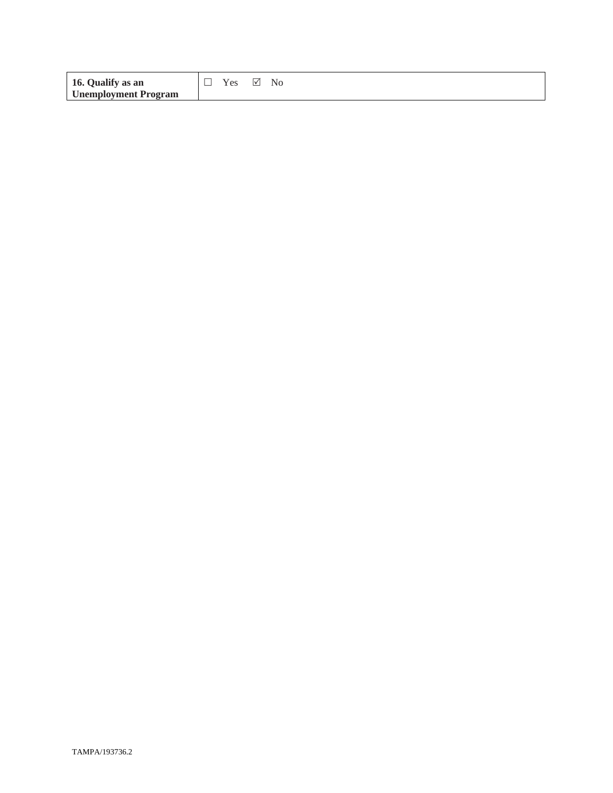| 16. Qualify as an           |  |
|-----------------------------|--|
| <b>Unemployment Program</b> |  |

 $\Box$  Yes  $\boxtimes$  No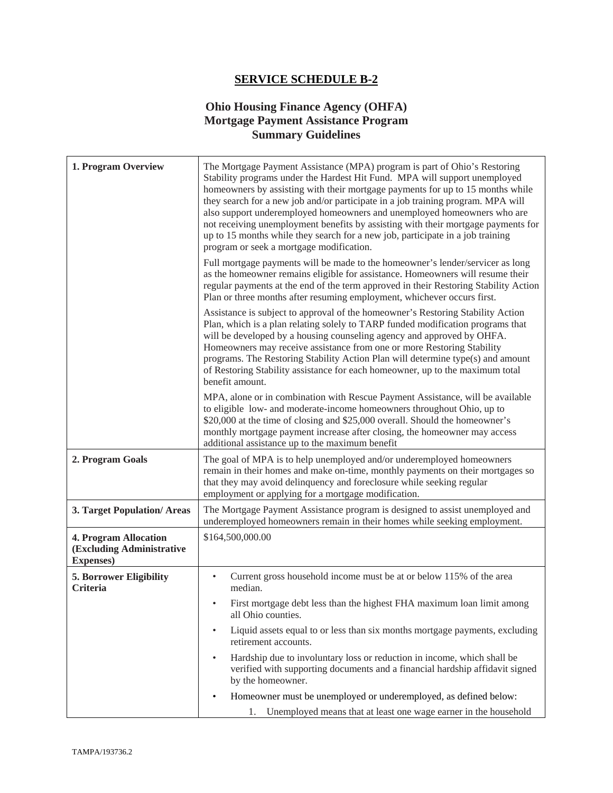#### **Ohio Housing Finance Agency (OHFA) Mortgage Payment Assistance Program Summary Guidelines**

| 1. Program Overview                                                            | The Mortgage Payment Assistance (MPA) program is part of Ohio's Restoring<br>Stability programs under the Hardest Hit Fund. MPA will support unemployed<br>homeowners by assisting with their mortgage payments for up to 15 months while<br>they search for a new job and/or participate in a job training program. MPA will<br>also support underemployed homeowners and unemployed homeowners who are<br>not receiving unemployment benefits by assisting with their mortgage payments for<br>up to 15 months while they search for a new job, participate in a job training<br>program or seek a mortgage modification. |
|--------------------------------------------------------------------------------|-----------------------------------------------------------------------------------------------------------------------------------------------------------------------------------------------------------------------------------------------------------------------------------------------------------------------------------------------------------------------------------------------------------------------------------------------------------------------------------------------------------------------------------------------------------------------------------------------------------------------------|
|                                                                                | Full mortgage payments will be made to the homeowner's lender/servicer as long<br>as the homeowner remains eligible for assistance. Homeowners will resume their<br>regular payments at the end of the term approved in their Restoring Stability Action<br>Plan or three months after resuming employment, whichever occurs first.                                                                                                                                                                                                                                                                                         |
|                                                                                | Assistance is subject to approval of the homeowner's Restoring Stability Action<br>Plan, which is a plan relating solely to TARP funded modification programs that<br>will be developed by a housing counseling agency and approved by OHFA.<br>Homeowners may receive assistance from one or more Restoring Stability<br>programs. The Restoring Stability Action Plan will determine type(s) and amount<br>of Restoring Stability assistance for each homeowner, up to the maximum total<br>benefit amount.                                                                                                               |
|                                                                                | MPA, alone or in combination with Rescue Payment Assistance, will be available<br>to eligible low- and moderate-income homeowners throughout Ohio, up to<br>\$20,000 at the time of closing and \$25,000 overall. Should the homeowner's<br>monthly mortgage payment increase after closing, the homeowner may access<br>additional assistance up to the maximum benefit                                                                                                                                                                                                                                                    |
| 2. Program Goals                                                               | The goal of MPA is to help unemployed and/or underemployed homeowners<br>remain in their homes and make on-time, monthly payments on their mortgages so<br>that they may avoid delinquency and foreclosure while seeking regular<br>employment or applying for a mortgage modification.                                                                                                                                                                                                                                                                                                                                     |
| 3. Target Population/Areas                                                     | The Mortgage Payment Assistance program is designed to assist unemployed and<br>underemployed homeowners remain in their homes while seeking employment.                                                                                                                                                                                                                                                                                                                                                                                                                                                                    |
| <b>4. Program Allocation</b><br>(Excluding Administrative<br><b>Expenses</b> ) | \$164,500,000.00                                                                                                                                                                                                                                                                                                                                                                                                                                                                                                                                                                                                            |
| <b>5. Borrower Eligibility</b><br>Criteria                                     | Current gross household income must be at or below 115% of the area<br>$\bullet$<br>median.                                                                                                                                                                                                                                                                                                                                                                                                                                                                                                                                 |
|                                                                                | First mortgage debt less than the highest FHA maximum loan limit among<br>all Ohio counties.                                                                                                                                                                                                                                                                                                                                                                                                                                                                                                                                |
|                                                                                | Liquid assets equal to or less than six months mortgage payments, excluding<br>$\bullet$<br>retirement accounts.                                                                                                                                                                                                                                                                                                                                                                                                                                                                                                            |
|                                                                                | Hardship due to involuntary loss or reduction in income, which shall be<br>$\bullet$<br>verified with supporting documents and a financial hardship affidavit signed<br>by the homeowner.                                                                                                                                                                                                                                                                                                                                                                                                                                   |
|                                                                                | Homeowner must be unemployed or underemployed, as defined below:<br>$\bullet$<br>1. Unemployed means that at least one wage earner in the household                                                                                                                                                                                                                                                                                                                                                                                                                                                                         |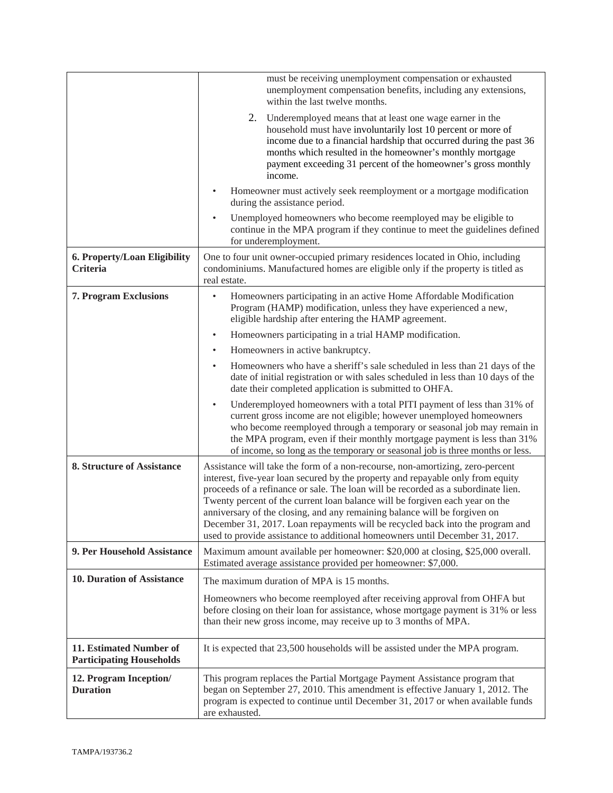|                                                            | must be receiving unemployment compensation or exhausted<br>unemployment compensation benefits, including any extensions,<br>within the last twelve months.                                                                                                                                                                                                                                                                                                                                                                                                                         |
|------------------------------------------------------------|-------------------------------------------------------------------------------------------------------------------------------------------------------------------------------------------------------------------------------------------------------------------------------------------------------------------------------------------------------------------------------------------------------------------------------------------------------------------------------------------------------------------------------------------------------------------------------------|
|                                                            | 2.<br>Underemployed means that at least one wage earner in the<br>household must have involuntarily lost 10 percent or more of<br>income due to a financial hardship that occurred during the past 36<br>months which resulted in the homeowner's monthly mortgage<br>payment exceeding 31 percent of the homeowner's gross monthly<br>income.                                                                                                                                                                                                                                      |
|                                                            | Homeowner must actively seek reemployment or a mortgage modification<br>during the assistance period.                                                                                                                                                                                                                                                                                                                                                                                                                                                                               |
|                                                            | Unemployed homeowners who become reemployed may be eligible to<br>$\bullet$<br>continue in the MPA program if they continue to meet the guidelines defined<br>for underemployment.                                                                                                                                                                                                                                                                                                                                                                                                  |
| 6. Property/Loan Eligibility<br>Criteria                   | One to four unit owner-occupied primary residences located in Ohio, including<br>condominiums. Manufactured homes are eligible only if the property is titled as<br>real estate.                                                                                                                                                                                                                                                                                                                                                                                                    |
| <b>7. Program Exclusions</b>                               | Homeowners participating in an active Home Affordable Modification<br>٠<br>Program (HAMP) modification, unless they have experienced a new,<br>eligible hardship after entering the HAMP agreement.                                                                                                                                                                                                                                                                                                                                                                                 |
|                                                            | Homeowners participating in a trial HAMP modification.<br>$\bullet$                                                                                                                                                                                                                                                                                                                                                                                                                                                                                                                 |
|                                                            | Homeowners in active bankruptcy.<br>$\bullet$                                                                                                                                                                                                                                                                                                                                                                                                                                                                                                                                       |
|                                                            | Homeowners who have a sheriff's sale scheduled in less than 21 days of the<br>$\bullet$<br>date of initial registration or with sales scheduled in less than 10 days of the<br>date their completed application is submitted to OHFA.                                                                                                                                                                                                                                                                                                                                               |
|                                                            | Underemployed homeowners with a total PITI payment of less than 31% of<br>$\bullet$<br>current gross income are not eligible; however unemployed homeowners<br>who become reemployed through a temporary or seasonal job may remain in<br>the MPA program, even if their monthly mortgage payment is less than 31%<br>of income, so long as the temporary or seasonal job is three months or less.                                                                                                                                                                                  |
| 8. Structure of Assistance                                 | Assistance will take the form of a non-recourse, non-amortizing, zero-percent<br>interest, five-year loan secured by the property and repayable only from equity<br>proceeds of a refinance or sale. The loan will be recorded as a subordinate lien.<br>Twenty percent of the current loan balance will be forgiven each year on the<br>anniversary of the closing, and any remaining balance will be forgiven on<br>December 31, 2017. Loan repayments will be recycled back into the program and<br>used to provide assistance to additional homeowners until December 31, 2017. |
| 9. Per Household Assistance                                | Maximum amount available per homeowner: \$20,000 at closing, \$25,000 overall.<br>Estimated average assistance provided per homeowner: \$7,000.                                                                                                                                                                                                                                                                                                                                                                                                                                     |
| 10. Duration of Assistance                                 | The maximum duration of MPA is 15 months.                                                                                                                                                                                                                                                                                                                                                                                                                                                                                                                                           |
|                                                            | Homeowners who become reemployed after receiving approval from OHFA but<br>before closing on their loan for assistance, whose mortgage payment is 31% or less<br>than their new gross income, may receive up to 3 months of MPA.                                                                                                                                                                                                                                                                                                                                                    |
| 11. Estimated Number of<br><b>Participating Households</b> | It is expected that 23,500 households will be assisted under the MPA program.                                                                                                                                                                                                                                                                                                                                                                                                                                                                                                       |
| 12. Program Inception/<br><b>Duration</b>                  | This program replaces the Partial Mortgage Payment Assistance program that<br>began on September 27, 2010. This amendment is effective January 1, 2012. The<br>program is expected to continue until December 31, 2017 or when available funds<br>are exhausted.                                                                                                                                                                                                                                                                                                                    |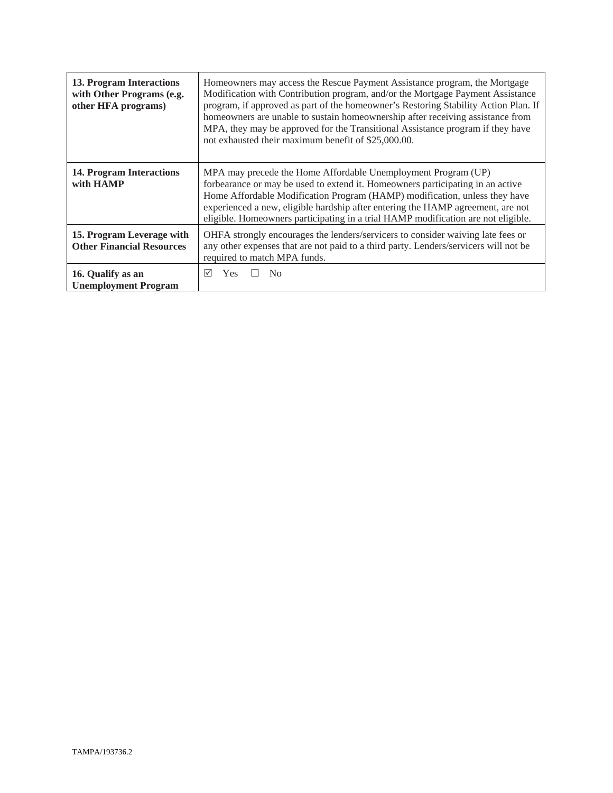| 13. Program Interactions<br>with Other Programs (e.g.<br>other HFA programs) | Homeowners may access the Rescue Payment Assistance program, the Mortgage<br>Modification with Contribution program, and/or the Mortgage Payment Assistance<br>program, if approved as part of the homeowner's Restoring Stability Action Plan. If<br>homeowners are unable to sustain homeownership after receiving assistance from<br>MPA, they may be approved for the Transitional Assistance program if they have<br>not exhausted their maximum benefit of \$25,000.00. |
|------------------------------------------------------------------------------|-------------------------------------------------------------------------------------------------------------------------------------------------------------------------------------------------------------------------------------------------------------------------------------------------------------------------------------------------------------------------------------------------------------------------------------------------------------------------------|
| 14. Program Interactions<br>with HAMP                                        | MPA may precede the Home Affordable Unemployment Program (UP)<br>forbearance or may be used to extend it. Homeowners participating in an active<br>Home Affordable Modification Program (HAMP) modification, unless they have<br>experienced a new, eligible hardship after entering the HAMP agreement, are not<br>eligible. Homeowners participating in a trial HAMP modification are not eligible.                                                                         |
| 15. Program Leverage with<br><b>Other Financial Resources</b>                | OHFA strongly encourages the lenders/servicers to consider waiving late fees or<br>any other expenses that are not paid to a third party. Lenders/servicers will not be<br>required to match MPA funds.                                                                                                                                                                                                                                                                       |
| 16. Qualify as an<br><b>Unemployment Program</b>                             | ☑<br>Yes<br>$\overline{N}_{0}$                                                                                                                                                                                                                                                                                                                                                                                                                                                |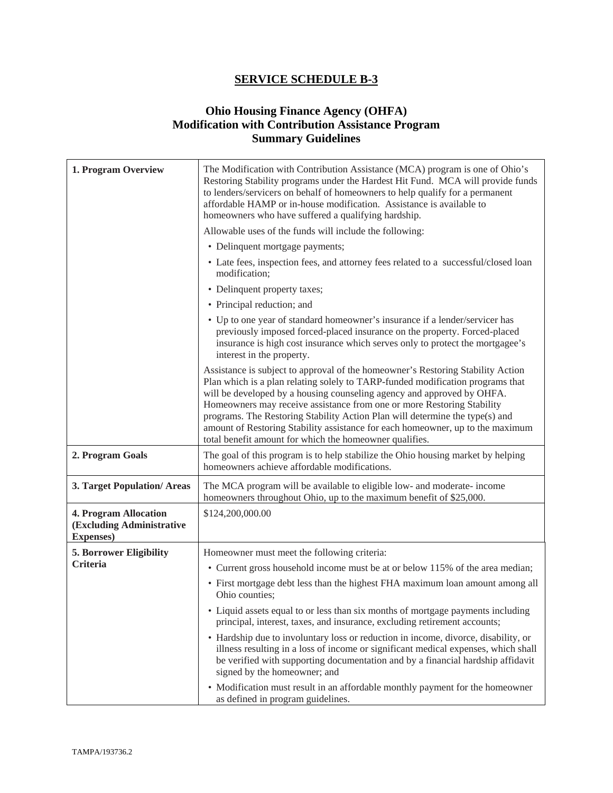# **Ohio Housing Finance Agency (OHFA) Modification with Contribution Assistance Program Summary Guidelines**

| 1. Program Overview                                                     | The Modification with Contribution Assistance (MCA) program is one of Ohio's<br>Restoring Stability programs under the Hardest Hit Fund. MCA will provide funds<br>to lenders/servicers on behalf of homeowners to help qualify for a permanent<br>affordable HAMP or in-house modification. Assistance is available to<br>homeowners who have suffered a qualifying hardship.                                                                                                                                                                     |
|-------------------------------------------------------------------------|----------------------------------------------------------------------------------------------------------------------------------------------------------------------------------------------------------------------------------------------------------------------------------------------------------------------------------------------------------------------------------------------------------------------------------------------------------------------------------------------------------------------------------------------------|
|                                                                         | Allowable uses of the funds will include the following:                                                                                                                                                                                                                                                                                                                                                                                                                                                                                            |
|                                                                         | • Delinquent mortgage payments;                                                                                                                                                                                                                                                                                                                                                                                                                                                                                                                    |
|                                                                         | • Late fees, inspection fees, and attorney fees related to a successful/closed loan<br>modification;                                                                                                                                                                                                                                                                                                                                                                                                                                               |
|                                                                         | • Delinquent property taxes;                                                                                                                                                                                                                                                                                                                                                                                                                                                                                                                       |
|                                                                         | • Principal reduction; and                                                                                                                                                                                                                                                                                                                                                                                                                                                                                                                         |
|                                                                         | • Up to one year of standard homeowner's insurance if a lender/servicer has<br>previously imposed forced-placed insurance on the property. Forced-placed<br>insurance is high cost insurance which serves only to protect the mortgagee's<br>interest in the property.                                                                                                                                                                                                                                                                             |
|                                                                         | Assistance is subject to approval of the homeowner's Restoring Stability Action<br>Plan which is a plan relating solely to TARP-funded modification programs that<br>will be developed by a housing counseling agency and approved by OHFA.<br>Homeowners may receive assistance from one or more Restoring Stability<br>programs. The Restoring Stability Action Plan will determine the type(s) and<br>amount of Restoring Stability assistance for each homeowner, up to the maximum<br>total benefit amount for which the homeowner qualifies. |
| 2. Program Goals                                                        | The goal of this program is to help stabilize the Ohio housing market by helping<br>homeowners achieve affordable modifications.                                                                                                                                                                                                                                                                                                                                                                                                                   |
| 3. Target Population/Areas                                              | The MCA program will be available to eligible low- and moderate- income<br>homeowners throughout Ohio, up to the maximum benefit of \$25,000.                                                                                                                                                                                                                                                                                                                                                                                                      |
| 4. Program Allocation<br>(Excluding Administrative<br><b>Expenses</b> ) | \$124,200,000.00                                                                                                                                                                                                                                                                                                                                                                                                                                                                                                                                   |
| 5. Borrower Eligibility                                                 | Homeowner must meet the following criteria:                                                                                                                                                                                                                                                                                                                                                                                                                                                                                                        |
| <b>Criteria</b>                                                         | • Current gross household income must be at or below 115% of the area median;                                                                                                                                                                                                                                                                                                                                                                                                                                                                      |
|                                                                         | • First mortgage debt less than the highest FHA maximum loan amount among all<br>Ohio counties;                                                                                                                                                                                                                                                                                                                                                                                                                                                    |
|                                                                         | • Liquid assets equal to or less than six months of mortgage payments including<br>principal, interest, taxes, and insurance, excluding retirement accounts;                                                                                                                                                                                                                                                                                                                                                                                       |
|                                                                         | • Hardship due to involuntary loss or reduction in income, divorce, disability, or<br>illness resulting in a loss of income or significant medical expenses, which shall<br>be verified with supporting documentation and by a financial hardship affidavit<br>signed by the homeowner; and                                                                                                                                                                                                                                                        |
|                                                                         | • Modification must result in an affordable monthly payment for the homeowner<br>as defined in program guidelines.                                                                                                                                                                                                                                                                                                                                                                                                                                 |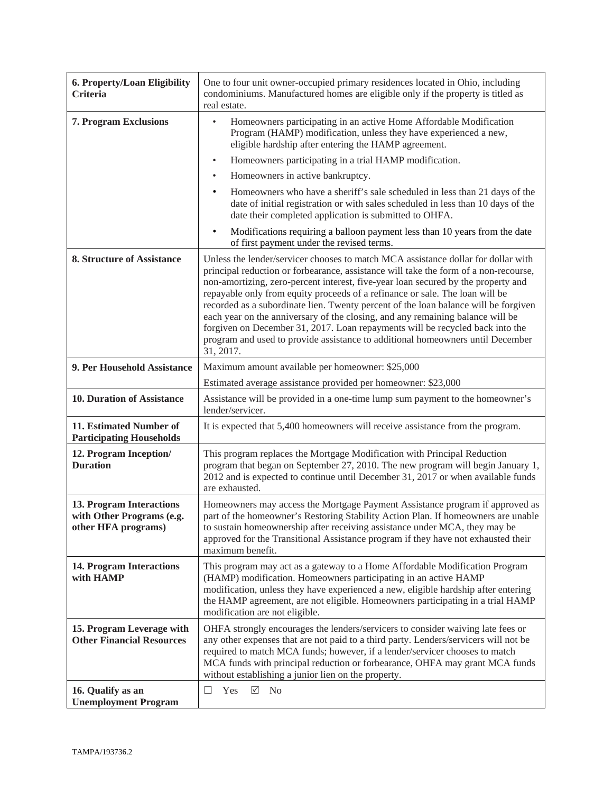| 6. Property/Loan Eligibility<br>Criteria                                     | One to four unit owner-occupied primary residences located in Ohio, including<br>condominiums. Manufactured homes are eligible only if the property is titled as<br>real estate.                                                                                                                                                                                                                                                                                                                                                                                                                                                                                                                        |
|------------------------------------------------------------------------------|---------------------------------------------------------------------------------------------------------------------------------------------------------------------------------------------------------------------------------------------------------------------------------------------------------------------------------------------------------------------------------------------------------------------------------------------------------------------------------------------------------------------------------------------------------------------------------------------------------------------------------------------------------------------------------------------------------|
| <b>7. Program Exclusions</b>                                                 | Homeowners participating in an active Home Affordable Modification<br>Program (HAMP) modification, unless they have experienced a new,<br>eligible hardship after entering the HAMP agreement.                                                                                                                                                                                                                                                                                                                                                                                                                                                                                                          |
|                                                                              | Homeowners participating in a trial HAMP modification.<br>$\bullet$                                                                                                                                                                                                                                                                                                                                                                                                                                                                                                                                                                                                                                     |
|                                                                              | Homeowners in active bankruptcy.<br>$\bullet$                                                                                                                                                                                                                                                                                                                                                                                                                                                                                                                                                                                                                                                           |
|                                                                              | Homeowners who have a sheriff's sale scheduled in less than 21 days of the<br>date of initial registration or with sales scheduled in less than 10 days of the<br>date their completed application is submitted to OHFA.                                                                                                                                                                                                                                                                                                                                                                                                                                                                                |
|                                                                              | Modifications requiring a balloon payment less than 10 years from the date<br>$\bullet$<br>of first payment under the revised terms.                                                                                                                                                                                                                                                                                                                                                                                                                                                                                                                                                                    |
| 8. Structure of Assistance                                                   | Unless the lender/servicer chooses to match MCA assistance dollar for dollar with<br>principal reduction or forbearance, assistance will take the form of a non-recourse,<br>non-amortizing, zero-percent interest, five-year loan secured by the property and<br>repayable only from equity proceeds of a refinance or sale. The loan will be<br>recorded as a subordinate lien. Twenty percent of the loan balance will be forgiven<br>each year on the anniversary of the closing, and any remaining balance will be<br>forgiven on December 31, 2017. Loan repayments will be recycled back into the<br>program and used to provide assistance to additional homeowners until December<br>31, 2017. |
| 9. Per Household Assistance                                                  | Maximum amount available per homeowner: \$25,000                                                                                                                                                                                                                                                                                                                                                                                                                                                                                                                                                                                                                                                        |
|                                                                              | Estimated average assistance provided per homeowner: \$23,000                                                                                                                                                                                                                                                                                                                                                                                                                                                                                                                                                                                                                                           |
| 10. Duration of Assistance                                                   | Assistance will be provided in a one-time lump sum payment to the homeowner's<br>lender/servicer.                                                                                                                                                                                                                                                                                                                                                                                                                                                                                                                                                                                                       |
| 11. Estimated Number of<br><b>Participating Households</b>                   | It is expected that 5,400 homeowners will receive assistance from the program.                                                                                                                                                                                                                                                                                                                                                                                                                                                                                                                                                                                                                          |
| 12. Program Inception/<br><b>Duration</b>                                    | This program replaces the Mortgage Modification with Principal Reduction<br>program that began on September 27, 2010. The new program will begin January 1,<br>2012 and is expected to continue until December 31, 2017 or when available funds<br>are exhausted.                                                                                                                                                                                                                                                                                                                                                                                                                                       |
| 13. Program Interactions<br>with Other Programs (e.g.<br>other HFA programs) | Homeowners may access the Mortgage Payment Assistance program if approved as<br>part of the homeowner's Restoring Stability Action Plan. If homeowners are unable<br>to sustain homeownership after receiving assistance under MCA, they may be<br>approved for the Transitional Assistance program if they have not exhausted their<br>maximum benefit.                                                                                                                                                                                                                                                                                                                                                |
| <b>14. Program Interactions</b><br>with HAMP                                 | This program may act as a gateway to a Home Affordable Modification Program<br>(HAMP) modification. Homeowners participating in an active HAMP<br>modification, unless they have experienced a new, eligible hardship after entering<br>the HAMP agreement, are not eligible. Homeowners participating in a trial HAMP<br>modification are not eligible.                                                                                                                                                                                                                                                                                                                                                |
| 15. Program Leverage with<br><b>Other Financial Resources</b>                | OHFA strongly encourages the lenders/servicers to consider waiving late fees or<br>any other expenses that are not paid to a third party. Lenders/servicers will not be<br>required to match MCA funds; however, if a lender/servicer chooses to match<br>MCA funds with principal reduction or forbearance, OHFA may grant MCA funds<br>without establishing a junior lien on the property.                                                                                                                                                                                                                                                                                                            |
| 16. Qualify as an<br><b>Unemployment Program</b>                             | $\sqrt{}$<br>N <sub>o</sub><br>Yes<br>$\Box$                                                                                                                                                                                                                                                                                                                                                                                                                                                                                                                                                                                                                                                            |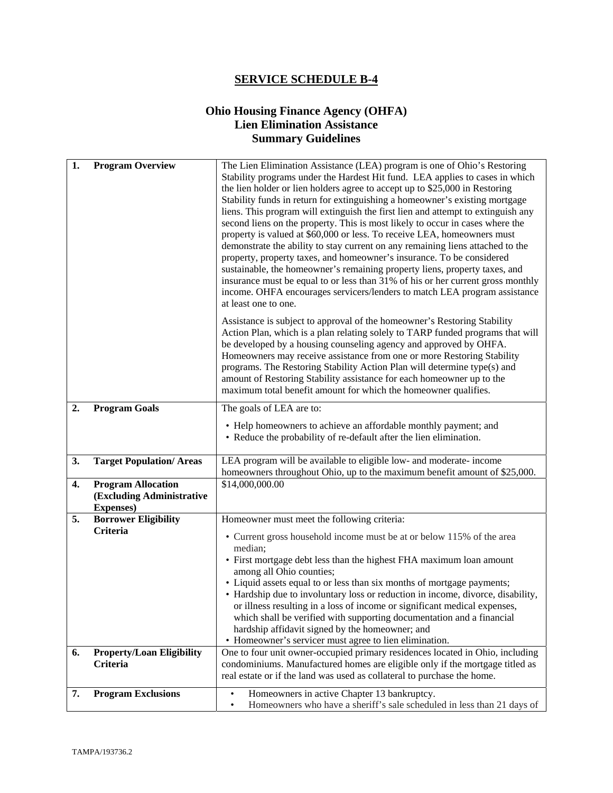# **Ohio Housing Finance Agency (OHFA) Lien Elimination Assistance Summary Guidelines**

| 1. | <b>Program Overview</b>                                                     | The Lien Elimination Assistance (LEA) program is one of Ohio's Restoring<br>Stability programs under the Hardest Hit fund. LEA applies to cases in which<br>the lien holder or lien holders agree to accept up to \$25,000 in Restoring<br>Stability funds in return for extinguishing a homeowner's existing mortgage<br>liens. This program will extinguish the first lien and attempt to extinguish any<br>second liens on the property. This is most likely to occur in cases where the<br>property is valued at \$60,000 or less. To receive LEA, homeowners must<br>demonstrate the ability to stay current on any remaining liens attached to the<br>property, property taxes, and homeowner's insurance. To be considered<br>sustainable, the homeowner's remaining property liens, property taxes, and<br>insurance must be equal to or less than 31% of his or her current gross monthly<br>income. OHFA encourages servicers/lenders to match LEA program assistance<br>at least one to one. |  |
|----|-----------------------------------------------------------------------------|---------------------------------------------------------------------------------------------------------------------------------------------------------------------------------------------------------------------------------------------------------------------------------------------------------------------------------------------------------------------------------------------------------------------------------------------------------------------------------------------------------------------------------------------------------------------------------------------------------------------------------------------------------------------------------------------------------------------------------------------------------------------------------------------------------------------------------------------------------------------------------------------------------------------------------------------------------------------------------------------------------|--|
|    |                                                                             | Assistance is subject to approval of the homeowner's Restoring Stability<br>Action Plan, which is a plan relating solely to TARP funded programs that will<br>be developed by a housing counseling agency and approved by OHFA.<br>Homeowners may receive assistance from one or more Restoring Stability<br>programs. The Restoring Stability Action Plan will determine type(s) and<br>amount of Restoring Stability assistance for each homeowner up to the<br>maximum total benefit amount for which the homeowner qualifies.                                                                                                                                                                                                                                                                                                                                                                                                                                                                       |  |
| 2. | <b>Program Goals</b>                                                        | The goals of LEA are to:                                                                                                                                                                                                                                                                                                                                                                                                                                                                                                                                                                                                                                                                                                                                                                                                                                                                                                                                                                                |  |
|    |                                                                             | • Help homeowners to achieve an affordable monthly payment; and<br>• Reduce the probability of re-default after the lien elimination.                                                                                                                                                                                                                                                                                                                                                                                                                                                                                                                                                                                                                                                                                                                                                                                                                                                                   |  |
| 3. | <b>Target Population/ Areas</b>                                             | LEA program will be available to eligible low- and moderate- income<br>homeowners throughout Ohio, up to the maximum benefit amount of \$25,000.                                                                                                                                                                                                                                                                                                                                                                                                                                                                                                                                                                                                                                                                                                                                                                                                                                                        |  |
| 4. | <b>Program Allocation</b><br>(Excluding Administrative<br><b>Expenses</b> ) | \$14,000,000.00                                                                                                                                                                                                                                                                                                                                                                                                                                                                                                                                                                                                                                                                                                                                                                                                                                                                                                                                                                                         |  |
| 5. | <b>Borrower Eligibility</b>                                                 | Homeowner must meet the following criteria:                                                                                                                                                                                                                                                                                                                                                                                                                                                                                                                                                                                                                                                                                                                                                                                                                                                                                                                                                             |  |
|    | <b>Criteria</b>                                                             | • Current gross household income must be at or below 115% of the area<br>median;<br>• First mortgage debt less than the highest FHA maximum loan amount<br>among all Ohio counties;<br>• Liquid assets equal to or less than six months of mortgage payments;                                                                                                                                                                                                                                                                                                                                                                                                                                                                                                                                                                                                                                                                                                                                           |  |
|    |                                                                             | • Hardship due to involuntary loss or reduction in income, divorce, disability,<br>or illness resulting in a loss of income or significant medical expenses,<br>which shall be verified with supporting documentation and a financial<br>hardship affidavit signed by the homeowner; and<br>• Homeowner's servicer must agree to lien elimination.                                                                                                                                                                                                                                                                                                                                                                                                                                                                                                                                                                                                                                                      |  |
| 6. | <b>Property/Loan Eligibility</b><br><b>Criteria</b>                         | One to four unit owner-occupied primary residences located in Ohio, including<br>condominiums. Manufactured homes are eligible only if the mortgage titled as<br>real estate or if the land was used as collateral to purchase the home.                                                                                                                                                                                                                                                                                                                                                                                                                                                                                                                                                                                                                                                                                                                                                                |  |
| 7. | <b>Program Exclusions</b>                                                   | Homeowners in active Chapter 13 bankruptcy.                                                                                                                                                                                                                                                                                                                                                                                                                                                                                                                                                                                                                                                                                                                                                                                                                                                                                                                                                             |  |
|    |                                                                             | Homeowners who have a sheriff's sale scheduled in less than 21 days of<br>٠                                                                                                                                                                                                                                                                                                                                                                                                                                                                                                                                                                                                                                                                                                                                                                                                                                                                                                                             |  |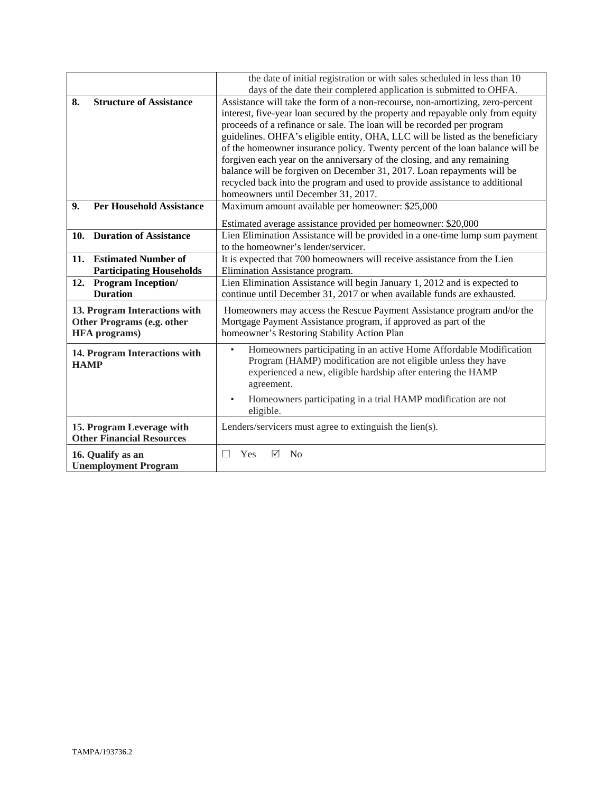|                                                                                     | the date of initial registration or with sales scheduled in less than 10<br>days of the date their completed application is submitted to OHFA.                                                                                                                                                                                                                                                                                                                                                                                                                                                                                                                                           |  |
|-------------------------------------------------------------------------------------|------------------------------------------------------------------------------------------------------------------------------------------------------------------------------------------------------------------------------------------------------------------------------------------------------------------------------------------------------------------------------------------------------------------------------------------------------------------------------------------------------------------------------------------------------------------------------------------------------------------------------------------------------------------------------------------|--|
| 8.<br><b>Structure of Assistance</b>                                                | Assistance will take the form of a non-recourse, non-amortizing, zero-percent<br>interest, five-year loan secured by the property and repayable only from equity<br>proceeds of a refinance or sale. The loan will be recorded per program<br>guidelines. OHFA's eligible entity, OHA, LLC will be listed as the beneficiary<br>of the homeowner insurance policy. Twenty percent of the loan balance will be<br>forgiven each year on the anniversary of the closing, and any remaining<br>balance will be forgiven on December 31, 2017. Loan repayments will be<br>recycled back into the program and used to provide assistance to additional<br>homeowners until December 31, 2017. |  |
| <b>Per Household Assistance</b><br>9.                                               | Maximum amount available per homeowner: \$25,000<br>Estimated average assistance provided per homeowner: \$20,000                                                                                                                                                                                                                                                                                                                                                                                                                                                                                                                                                                        |  |
| 10. Duration of Assistance                                                          | Lien Elimination Assistance will be provided in a one-time lump sum payment<br>to the homeowner's lender/servicer.                                                                                                                                                                                                                                                                                                                                                                                                                                                                                                                                                                       |  |
| <b>Estimated Number of</b><br>11.<br><b>Participating Households</b>                | It is expected that 700 homeowners will receive assistance from the Lien<br>Elimination Assistance program.                                                                                                                                                                                                                                                                                                                                                                                                                                                                                                                                                                              |  |
| 12. Program Inception/<br><b>Duration</b>                                           | Lien Elimination Assistance will begin January 1, 2012 and is expected to<br>continue until December 31, 2017 or when available funds are exhausted.                                                                                                                                                                                                                                                                                                                                                                                                                                                                                                                                     |  |
| 13. Program Interactions with<br>Other Programs (e.g. other<br><b>HFA</b> programs) | Homeowners may access the Rescue Payment Assistance program and/or the<br>Mortgage Payment Assistance program, if approved as part of the<br>homeowner's Restoring Stability Action Plan                                                                                                                                                                                                                                                                                                                                                                                                                                                                                                 |  |
| 14. Program Interactions with<br><b>HAMP</b>                                        | Homeowners participating in an active Home Affordable Modification<br>Program (HAMP) modification are not eligible unless they have<br>experienced a new, eligible hardship after entering the HAMP<br>agreement.<br>Homeowners participating in a trial HAMP modification are not<br>$\bullet$<br>eligible.                                                                                                                                                                                                                                                                                                                                                                             |  |
| 15. Program Leverage with<br><b>Other Financial Resources</b>                       | Lenders/servicers must agree to extinguish the lien(s).                                                                                                                                                                                                                                                                                                                                                                                                                                                                                                                                                                                                                                  |  |
| 16. Qualify as an<br><b>Unemployment Program</b>                                    | <b>Yes</b><br>☑<br>$\Box$<br>N <sub>0</sub>                                                                                                                                                                                                                                                                                                                                                                                                                                                                                                                                                                                                                                              |  |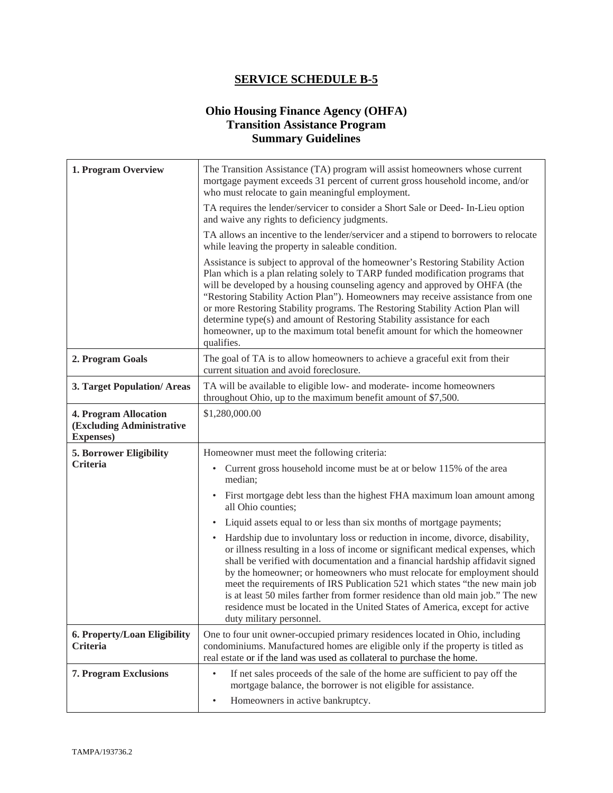# **Ohio Housing Finance Agency (OHFA) Transition Assistance Program Summary Guidelines**

| 1. Program Overview                                                     | The Transition Assistance (TA) program will assist homeowners whose current<br>mortgage payment exceeds 31 percent of current gross household income, and/or<br>who must relocate to gain meaningful employment.                                                                                                                                                                                                                                                                                                                                                                                                        |  |  |
|-------------------------------------------------------------------------|-------------------------------------------------------------------------------------------------------------------------------------------------------------------------------------------------------------------------------------------------------------------------------------------------------------------------------------------------------------------------------------------------------------------------------------------------------------------------------------------------------------------------------------------------------------------------------------------------------------------------|--|--|
|                                                                         | TA requires the lender/servicer to consider a Short Sale or Deed- In-Lieu option<br>and waive any rights to deficiency judgments.                                                                                                                                                                                                                                                                                                                                                                                                                                                                                       |  |  |
|                                                                         | TA allows an incentive to the lender/servicer and a stipend to borrowers to relocate<br>while leaving the property in saleable condition.                                                                                                                                                                                                                                                                                                                                                                                                                                                                               |  |  |
|                                                                         | Assistance is subject to approval of the homeowner's Restoring Stability Action<br>Plan which is a plan relating solely to TARP funded modification programs that<br>will be developed by a housing counseling agency and approved by OHFA (the<br>"Restoring Stability Action Plan"). Homeowners may receive assistance from one<br>or more Restoring Stability programs. The Restoring Stability Action Plan will<br>determine type(s) and amount of Restoring Stability assistance for each<br>homeowner, up to the maximum total benefit amount for which the homeowner<br>qualifies.                               |  |  |
| 2. Program Goals                                                        | The goal of TA is to allow homeowners to achieve a graceful exit from their<br>current situation and avoid foreclosure.                                                                                                                                                                                                                                                                                                                                                                                                                                                                                                 |  |  |
| 3. Target Population/Areas                                              | TA will be available to eligible low- and moderate- income homeowners<br>throughout Ohio, up to the maximum benefit amount of \$7,500.                                                                                                                                                                                                                                                                                                                                                                                                                                                                                  |  |  |
| 4. Program Allocation<br>(Excluding Administrative<br><b>Expenses</b> ) | \$1,280,000.00                                                                                                                                                                                                                                                                                                                                                                                                                                                                                                                                                                                                          |  |  |
| <b>5. Borrower Eligibility</b>                                          | Homeowner must meet the following criteria:                                                                                                                                                                                                                                                                                                                                                                                                                                                                                                                                                                             |  |  |
| <b>Criteria</b>                                                         | Current gross household income must be at or below 115% of the area<br>$\bullet$<br>median;                                                                                                                                                                                                                                                                                                                                                                                                                                                                                                                             |  |  |
|                                                                         | First mortgage debt less than the highest FHA maximum loan amount among<br>$\bullet$<br>all Ohio counties;                                                                                                                                                                                                                                                                                                                                                                                                                                                                                                              |  |  |
|                                                                         | Liquid assets equal to or less than six months of mortgage payments;<br>٠                                                                                                                                                                                                                                                                                                                                                                                                                                                                                                                                               |  |  |
|                                                                         | Hardship due to involuntary loss or reduction in income, divorce, disability,<br>$\bullet$<br>or illness resulting in a loss of income or significant medical expenses, which<br>shall be verified with documentation and a financial hardship affidavit signed<br>by the homeowner; or homeowners who must relocate for employment should<br>meet the requirements of IRS Publication 521 which states "the new main job<br>is at least 50 miles farther from former residence than old main job." The new<br>residence must be located in the United States of America, except for active<br>duty military personnel. |  |  |
| 6. Property/Loan Eligibility<br>Criteria                                | One to four unit owner-occupied primary residences located in Ohio, including<br>condominiums. Manufactured homes are eligible only if the property is titled as<br>real estate or if the land was used as collateral to purchase the home.                                                                                                                                                                                                                                                                                                                                                                             |  |  |
| 7. Program Exclusions                                                   | If net sales proceeds of the sale of the home are sufficient to pay off the<br>$\bullet$<br>mortgage balance, the borrower is not eligible for assistance.                                                                                                                                                                                                                                                                                                                                                                                                                                                              |  |  |
|                                                                         | Homeowners in active bankruptcy.<br>$\bullet$                                                                                                                                                                                                                                                                                                                                                                                                                                                                                                                                                                           |  |  |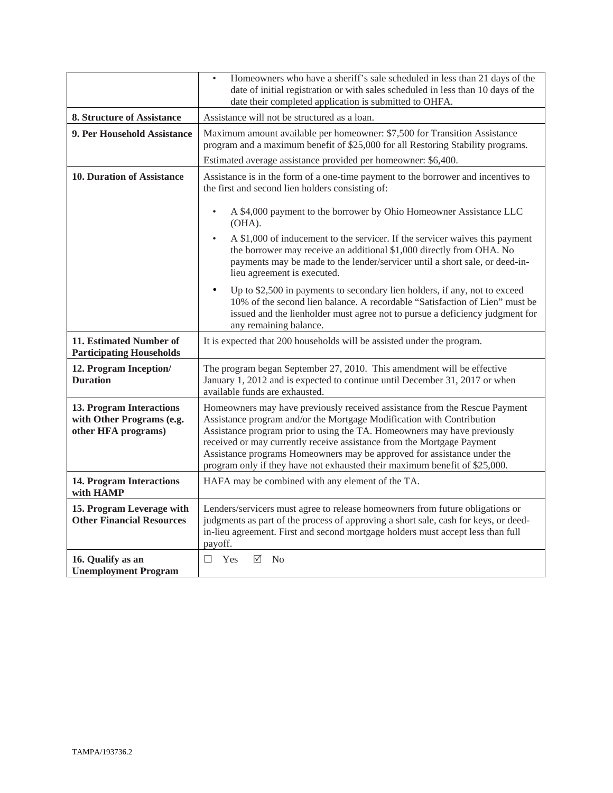|                                                                              | Homeowners who have a sheriff's sale scheduled in less than 21 days of the<br>date of initial registration or with sales scheduled in less than 10 days of the<br>date their completed application is submitted to OHFA.                                                                                                                                                                                                                                           |  |
|------------------------------------------------------------------------------|--------------------------------------------------------------------------------------------------------------------------------------------------------------------------------------------------------------------------------------------------------------------------------------------------------------------------------------------------------------------------------------------------------------------------------------------------------------------|--|
| 8. Structure of Assistance                                                   | Assistance will not be structured as a loan.                                                                                                                                                                                                                                                                                                                                                                                                                       |  |
| 9. Per Household Assistance                                                  | Maximum amount available per homeowner: \$7,500 for Transition Assistance<br>program and a maximum benefit of \$25,000 for all Restoring Stability programs.                                                                                                                                                                                                                                                                                                       |  |
|                                                                              | Estimated average assistance provided per homeowner: \$6,400.                                                                                                                                                                                                                                                                                                                                                                                                      |  |
| 10. Duration of Assistance                                                   | Assistance is in the form of a one-time payment to the borrower and incentives to<br>the first and second lien holders consisting of:                                                                                                                                                                                                                                                                                                                              |  |
|                                                                              | A \$4,000 payment to the borrower by Ohio Homeowner Assistance LLC<br>$\bullet$<br>$(OHA)$ .                                                                                                                                                                                                                                                                                                                                                                       |  |
|                                                                              | A \$1,000 of inducement to the servicer. If the servicer waives this payment<br>$\bullet$<br>the borrower may receive an additional \$1,000 directly from OHA. No<br>payments may be made to the lender/servicer until a short sale, or deed-in-<br>lieu agreement is executed.                                                                                                                                                                                    |  |
|                                                                              | $\bullet$<br>Up to \$2,500 in payments to secondary lien holders, if any, not to exceed<br>10% of the second lien balance. A recordable "Satisfaction of Lien" must be<br>issued and the lienholder must agree not to pursue a deficiency judgment for<br>any remaining balance.                                                                                                                                                                                   |  |
| 11. Estimated Number of<br><b>Participating Households</b>                   | It is expected that 200 households will be assisted under the program.                                                                                                                                                                                                                                                                                                                                                                                             |  |
| 12. Program Inception/<br><b>Duration</b>                                    | The program began September 27, 2010. This amendment will be effective<br>January 1, 2012 and is expected to continue until December 31, 2017 or when<br>available funds are exhausted.                                                                                                                                                                                                                                                                            |  |
| 13. Program Interactions<br>with Other Programs (e.g.<br>other HFA programs) | Homeowners may have previously received assistance from the Rescue Payment<br>Assistance program and/or the Mortgage Modification with Contribution<br>Assistance program prior to using the TA. Homeowners may have previously<br>received or may currently receive assistance from the Mortgage Payment<br>Assistance programs Homeowners may be approved for assistance under the<br>program only if they have not exhausted their maximum benefit of \$25,000. |  |
| <b>14. Program Interactions</b><br>with HAMP                                 | HAFA may be combined with any element of the TA.                                                                                                                                                                                                                                                                                                                                                                                                                   |  |
| 15. Program Leverage with<br><b>Other Financial Resources</b>                | Lenders/servicers must agree to release homeowners from future obligations or<br>judgments as part of the process of approving a short sale, cash for keys, or deed-<br>in-lieu agreement. First and second mortgage holders must accept less than full<br>payoff.                                                                                                                                                                                                 |  |
| 16. Qualify as an<br><b>Unemployment Program</b>                             | Yes<br>$\triangledown$<br>No<br>П                                                                                                                                                                                                                                                                                                                                                                                                                                  |  |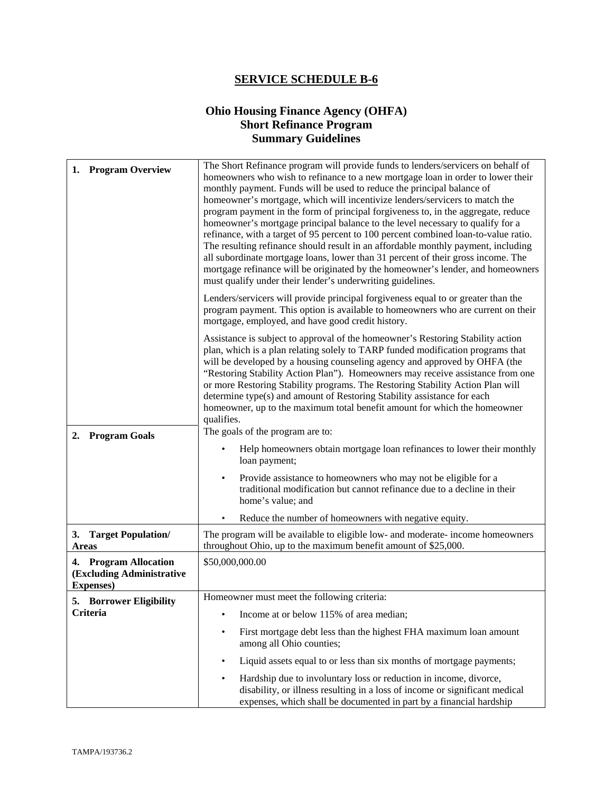# **Ohio Housing Finance Agency (OHFA) Short Refinance Program Summary Guidelines**

| <b>Program Overview</b><br>1.                                           | The Short Refinance program will provide funds to lenders/servicers on behalf of<br>homeowners who wish to refinance to a new mortgage loan in order to lower their<br>monthly payment. Funds will be used to reduce the principal balance of<br>homeowner's mortgage, which will incentivize lenders/servicers to match the<br>program payment in the form of principal forgiveness to, in the aggregate, reduce<br>homeowner's mortgage principal balance to the level necessary to qualify for a<br>refinance, with a target of 95 percent to 100 percent combined loan-to-value ratio.<br>The resulting refinance should result in an affordable monthly payment, including<br>all subordinate mortgage loans, lower than 31 percent of their gross income. The<br>mortgage refinance will be originated by the homeowner's lender, and homeowners<br>must qualify under their lender's underwriting guidelines. |
|-------------------------------------------------------------------------|----------------------------------------------------------------------------------------------------------------------------------------------------------------------------------------------------------------------------------------------------------------------------------------------------------------------------------------------------------------------------------------------------------------------------------------------------------------------------------------------------------------------------------------------------------------------------------------------------------------------------------------------------------------------------------------------------------------------------------------------------------------------------------------------------------------------------------------------------------------------------------------------------------------------|
|                                                                         | Lenders/servicers will provide principal forgiveness equal to or greater than the<br>program payment. This option is available to homeowners who are current on their<br>mortgage, employed, and have good credit history.                                                                                                                                                                                                                                                                                                                                                                                                                                                                                                                                                                                                                                                                                           |
|                                                                         | Assistance is subject to approval of the homeowner's Restoring Stability action<br>plan, which is a plan relating solely to TARP funded modification programs that<br>will be developed by a housing counseling agency and approved by OHFA (the<br>"Restoring Stability Action Plan"). Homeowners may receive assistance from one<br>or more Restoring Stability programs. The Restoring Stability Action Plan will<br>determine type(s) and amount of Restoring Stability assistance for each<br>homeowner, up to the maximum total benefit amount for which the homeowner<br>qualifies.<br>The goals of the program are to:                                                                                                                                                                                                                                                                                       |
| <b>Program Goals</b><br>2.                                              | Help homeowners obtain mortgage loan refinances to lower their monthly<br>loan payment;                                                                                                                                                                                                                                                                                                                                                                                                                                                                                                                                                                                                                                                                                                                                                                                                                              |
|                                                                         | Provide assistance to homeowners who may not be eligible for a<br>$\bullet$<br>traditional modification but cannot refinance due to a decline in their<br>home's value; and                                                                                                                                                                                                                                                                                                                                                                                                                                                                                                                                                                                                                                                                                                                                          |
|                                                                         | Reduce the number of homeowners with negative equity.                                                                                                                                                                                                                                                                                                                                                                                                                                                                                                                                                                                                                                                                                                                                                                                                                                                                |
| <b>Target Population/</b><br>3.<br><b>Areas</b>                         | The program will be available to eligible low- and moderate- income homeowners<br>throughout Ohio, up to the maximum benefit amount of \$25,000.                                                                                                                                                                                                                                                                                                                                                                                                                                                                                                                                                                                                                                                                                                                                                                     |
| 4. Program Allocation<br>(Excluding Administrative<br><b>Expenses</b> ) | \$50,000,000.00                                                                                                                                                                                                                                                                                                                                                                                                                                                                                                                                                                                                                                                                                                                                                                                                                                                                                                      |
| 5. Borrower Eligibility                                                 | Homeowner must meet the following criteria:                                                                                                                                                                                                                                                                                                                                                                                                                                                                                                                                                                                                                                                                                                                                                                                                                                                                          |
| <b>Criteria</b>                                                         | Income at or below 115% of area median;<br>$\bullet$                                                                                                                                                                                                                                                                                                                                                                                                                                                                                                                                                                                                                                                                                                                                                                                                                                                                 |
|                                                                         | First mortgage debt less than the highest FHA maximum loan amount<br>$\bullet$<br>among all Ohio counties;                                                                                                                                                                                                                                                                                                                                                                                                                                                                                                                                                                                                                                                                                                                                                                                                           |
|                                                                         | Liquid assets equal to or less than six months of mortgage payments;<br>$\bullet$                                                                                                                                                                                                                                                                                                                                                                                                                                                                                                                                                                                                                                                                                                                                                                                                                                    |
|                                                                         | Hardship due to involuntary loss or reduction in income, divorce,<br>$\bullet$<br>disability, or illness resulting in a loss of income or significant medical<br>expenses, which shall be documented in part by a financial hardship                                                                                                                                                                                                                                                                                                                                                                                                                                                                                                                                                                                                                                                                                 |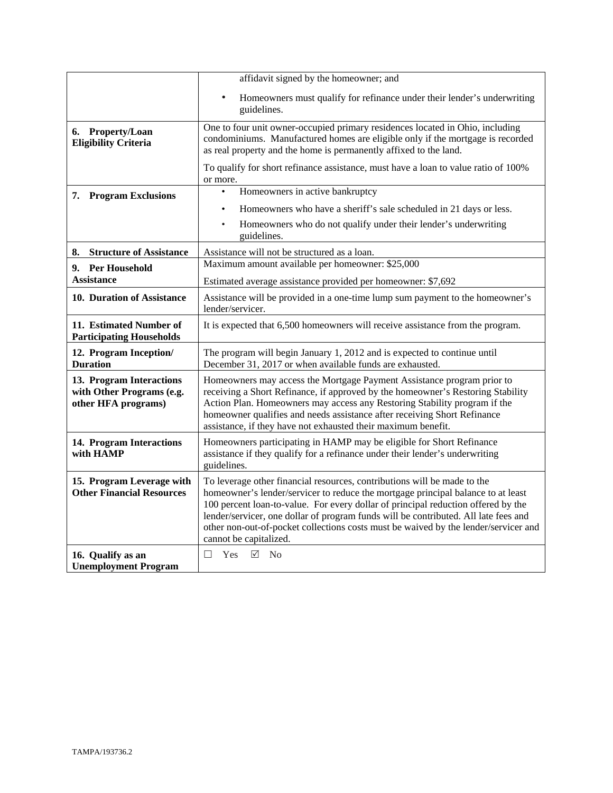|                                                                              | affidavit signed by the homeowner; and                                                                                                                                                                                                                                                                                                                                                                                                                    |  |
|------------------------------------------------------------------------------|-----------------------------------------------------------------------------------------------------------------------------------------------------------------------------------------------------------------------------------------------------------------------------------------------------------------------------------------------------------------------------------------------------------------------------------------------------------|--|
|                                                                              | Homeowners must qualify for refinance under their lender's underwriting<br>$\bullet$<br>guidelines.                                                                                                                                                                                                                                                                                                                                                       |  |
| 6. Property/Loan<br><b>Eligibility Criteria</b>                              | One to four unit owner-occupied primary residences located in Ohio, including<br>condominiums. Manufactured homes are eligible only if the mortgage is recorded<br>as real property and the home is permanently affixed to the land.                                                                                                                                                                                                                      |  |
|                                                                              | To qualify for short refinance assistance, must have a loan to value ratio of 100%<br>or more.                                                                                                                                                                                                                                                                                                                                                            |  |
| <b>Program Exclusions</b><br>7.                                              | Homeowners in active bankruptcy<br>$\bullet$                                                                                                                                                                                                                                                                                                                                                                                                              |  |
|                                                                              | Homeowners who have a sheriff's sale scheduled in 21 days or less.<br>$\bullet$                                                                                                                                                                                                                                                                                                                                                                           |  |
|                                                                              | Homeowners who do not qualify under their lender's underwriting<br>$\bullet$<br>guidelines.                                                                                                                                                                                                                                                                                                                                                               |  |
| <b>Structure of Assistance</b><br>8.                                         | Assistance will not be structured as a loan.                                                                                                                                                                                                                                                                                                                                                                                                              |  |
| 9. Per Household                                                             | Maximum amount available per homeowner: \$25,000                                                                                                                                                                                                                                                                                                                                                                                                          |  |
| Assistance                                                                   | Estimated average assistance provided per homeowner: \$7,692                                                                                                                                                                                                                                                                                                                                                                                              |  |
| 10. Duration of Assistance                                                   | Assistance will be provided in a one-time lump sum payment to the homeowner's<br>lender/servicer.                                                                                                                                                                                                                                                                                                                                                         |  |
| 11. Estimated Number of<br><b>Participating Households</b>                   | It is expected that 6,500 homeowners will receive assistance from the program.                                                                                                                                                                                                                                                                                                                                                                            |  |
| 12. Program Inception/<br><b>Duration</b>                                    | The program will begin January 1, 2012 and is expected to continue until<br>December 31, 2017 or when available funds are exhausted.                                                                                                                                                                                                                                                                                                                      |  |
| 13. Program Interactions<br>with Other Programs (e.g.<br>other HFA programs) | Homeowners may access the Mortgage Payment Assistance program prior to<br>receiving a Short Refinance, if approved by the homeowner's Restoring Stability<br>Action Plan. Homeowners may access any Restoring Stability program if the<br>homeowner qualifies and needs assistance after receiving Short Refinance<br>assistance, if they have not exhausted their maximum benefit.                                                                       |  |
| 14. Program Interactions<br>with HAMP                                        | Homeowners participating in HAMP may be eligible for Short Refinance<br>assistance if they qualify for a refinance under their lender's underwriting<br>guidelines.                                                                                                                                                                                                                                                                                       |  |
| 15. Program Leverage with<br><b>Other Financial Resources</b>                | To leverage other financial resources, contributions will be made to the<br>homeowner's lender/servicer to reduce the mortgage principal balance to at least<br>100 percent loan-to-value. For every dollar of principal reduction offered by the<br>lender/servicer, one dollar of program funds will be contributed. All late fees and<br>other non-out-of-pocket collections costs must be waived by the lender/servicer and<br>cannot be capitalized. |  |
| 16. Qualify as an<br><b>Unemployment Program</b>                             | ☑<br>П.<br>Yes<br>N <sub>o</sub>                                                                                                                                                                                                                                                                                                                                                                                                                          |  |